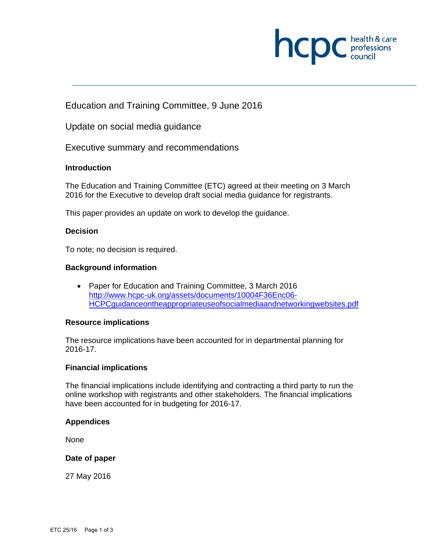

Education and Training Committee, 9 June 2016

Update on social media guidance

Executive summary and recommendations

# **Introduction**

The Education and Training Committee (ETC) agreed at their meeting on 3 March 2016 for the Executive to develop draft social media guidance for registrants.

This paper provides an update on work to develop the guidance.

# **Decision**

To note; no decision is required.

# **Background information**

• Paper for Education and Training Committee, 3 March 2016 http://www.hcpc-uk.org/assets/documents/10004F36Enc06- HCPCguidanceontheappropriateuseofsocialmediaandnetworkingwebsites.pdf

## **Resource implications**

The resource implications have been accounted for in departmental planning for 2016-17.

## **Financial implications**

The financial implications include identifying and contracting a third party to run the online workshop with registrants and other stakeholders. The financial implications have been accounted for in budgeting for 2016-17.

## **Appendices**

None

# **Date of paper**

27 May 2016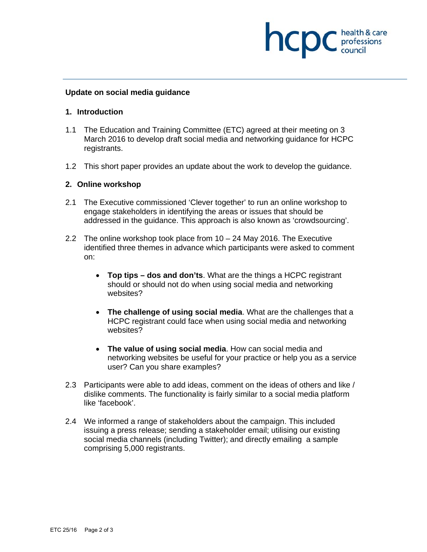

### **Update on social media guidance**

#### **1. Introduction**

- 1.1 The Education and Training Committee (ETC) agreed at their meeting on 3 March 2016 to develop draft social media and networking guidance for HCPC registrants.
- 1.2 This short paper provides an update about the work to develop the guidance.

### **2. Online workshop**

- 2.1 The Executive commissioned 'Clever together' to run an online workshop to engage stakeholders in identifying the areas or issues that should be addressed in the guidance. This approach is also known as 'crowdsourcing'.
- 2.2 The online workshop took place from  $10 24$  May 2016. The Executive identified three themes in advance which participants were asked to comment on:
	- **Top tips dos and don'ts**. What are the things a HCPC registrant should or should not do when using social media and networking websites?
	- **The challenge of using social media**. What are the challenges that a HCPC registrant could face when using social media and networking websites?
	- **The value of using social media**. How can social media and networking websites be useful for your practice or help you as a service user? Can you share examples?
- 2.3 Participants were able to add ideas, comment on the ideas of others and like / dislike comments. The functionality is fairly similar to a social media platform like 'facebook'.
- 2.4 We informed a range of stakeholders about the campaign. This included issuing a press release; sending a stakeholder email; utilising our existing social media channels (including Twitter); and directly emailing a sample comprising 5,000 registrants.